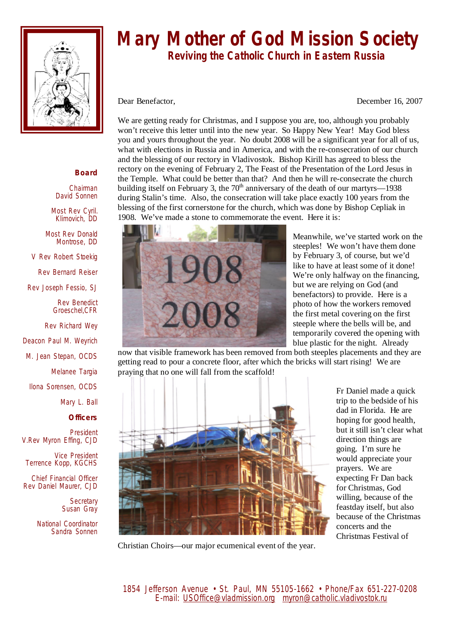

## **Mary Mother of God Mission Society**

 **Reviving the Catholic Church in Eastern Russia** 

Dear Benefactor, December 16, 2007

We are getting ready for Christmas, and I suppose you are, too, although you probably won't receive this letter until into the new year. So Happy New Year! May God bless you and yours throughout the year. No doubt 2008 will be a significant year for all of us, what with elections in Russia and in America, and with the re-consecration of our church and the blessing of our rectory in Vladivostok. Bishop Kirill has agreed to bless the rectory on the evening of February 2, The Feast of the Presentation of the Lord Jesus in the Temple. What could be better than that? And then he will re-consecrate the church building itself on February 3, the  $70<sup>th</sup>$  anniversary of the death of our martyrs—1938 during Stalin's time. Also, the consecration will take place exactly 100 years from the blessing of the first cornerstone for the church, which was done by Bishop Cepliak in 1908. We've made a stone to commemorate the event. Here it is:



Meanwhile, we've started work on the steeples! We won't have them done by February 3, of course, but we'd like to have at least some of it done! We're only halfway on the financing, but we are relying on God (and benefactors) to provide. Here is a photo of how the workers removed the first metal covering on the first steeple where the bells will be, and temporarily covered the opening with blue plastic for the night. Already

now that visible framework has been removed from both steeples placements and they are getting read to pour a concrete floor, after which the bricks will start rising! We are praying that no one will fall from the scaffold!



Fr Daniel made a quick trip to the bedside of his dad in Florida. He are hoping for good health, but it still isn't clear what direction things are going. I'm sure he would appreciate your prayers. We are expecting Fr Dan back for Christmas, God willing, because of the feastday itself, but also because of the Christmas concerts and the Christmas Festival of

Christian Choirs—our major ecumenical event of the year.

## **Board**

Chairman David Sonnen

Most Rev Cyril. Klimovich, DD

Most Rev Donald Montrose, DD

V Rev Robert Stoekig

Rev Bernard Reiser

Rev Joseph Fessio, SJ

Rev Benedict Groeschel,CFR

Rev Richard Wey

Deacon Paul M. Weyrich

M. Jean Stepan, OCDS

Melanee Targia

Ilona Sorensen, OCDS

Mary L. Ball

**Officers**

President V.Rev Myron Effing, CJD

Vice President Terrence Kopp, KGCHS

Chief Financial Officer Rev Daniel Maurer, CJD

> **Secretary** Susan Gray

National Coordinator Sandra Sonnen